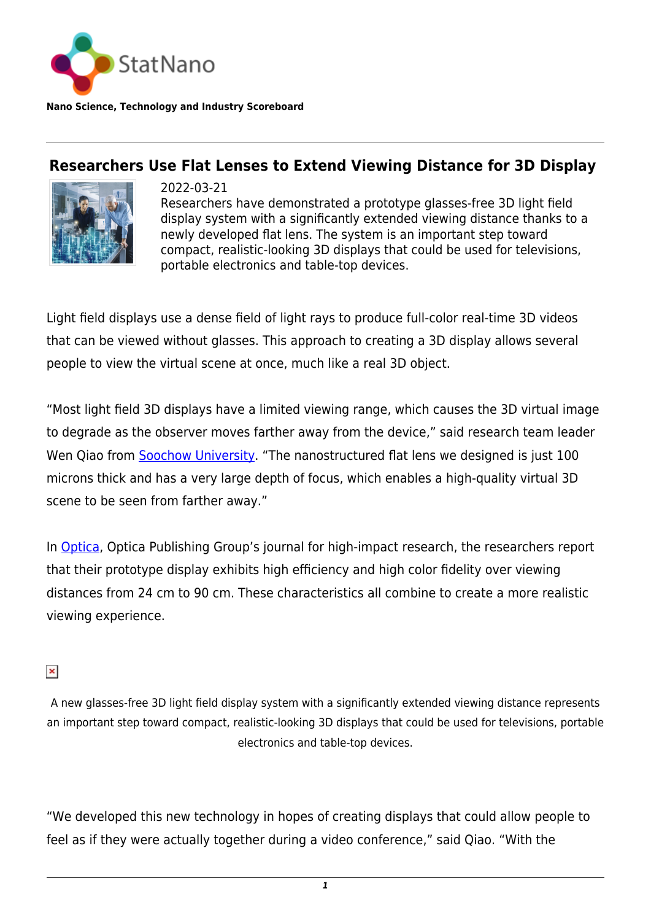

**Nano Science, Technology and Industry Scoreboard**

## **Researchers Use Flat Lenses to Extend Viewing Distance for 3D Display**



2022-03-21 Researchers have demonstrated a prototype glasses-free 3D light field display system with a significantly extended viewing distance thanks to a newly developed flat lens. The system is an important step toward compact, realistic-looking 3D displays that could be used for televisions, portable electronics and table-top devices.

Light field displays use a dense field of light rays to produce full-color real-time 3D videos that can be viewed without glasses. This approach to creating a 3D display allows several people to view the virtual scene at once, much like a real 3D object.

"Most light field 3D displays have a limited viewing range, which causes the 3D virtual image to degrade as the observer moves farther away from the device," said research team leader Wen Qiao from [Soochow University](http://www.scu.edu.tw/). "The nanostructured flat lens we designed is just 100 microns thick and has a very large depth of focus, which enables a high-quality virtual 3D scene to be seen from farther away."

In [Optica](https://opg.optica.org/), Optica Publishing Group's journal for high-impact research, the researchers report that their prototype display exhibits high efficiency and high color fidelity over viewing distances from 24 cm to 90 cm. These characteristics all combine to create a more realistic viewing experience.

## $\pmb{\times}$

A new glasses-free 3D light field display system with a significantly extended viewing distance represents an important step toward compact, realistic-looking 3D displays that could be used for televisions, portable electronics and table-top devices.

"We developed this new technology in hopes of creating displays that could allow people to feel as if they were actually together during a video conference," said Qiao. "With the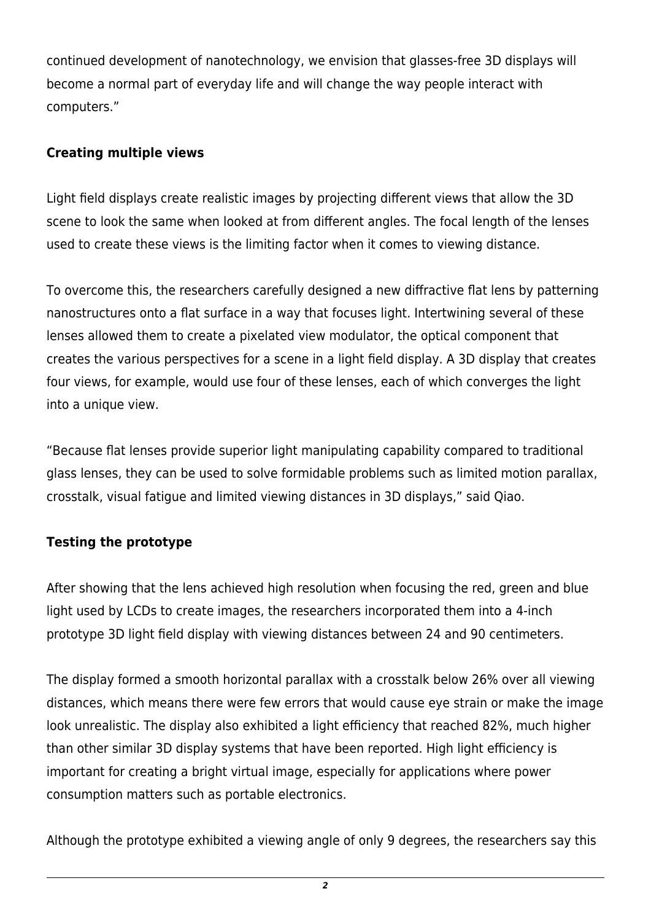continued development of nanotechnology, we envision that glasses-free 3D displays will become a normal part of everyday life and will change the way people interact with computers."

## **Creating multiple views**

Light field displays create realistic images by projecting different views that allow the 3D scene to look the same when looked at from different angles. The focal length of the lenses used to create these views is the limiting factor when it comes to viewing distance.

To overcome this, the researchers carefully designed a new diffractive flat lens by patterning nanostructures onto a flat surface in a way that focuses light. Intertwining several of these lenses allowed them to create a pixelated view modulator, the optical component that creates the various perspectives for a scene in a light field display. A 3D display that creates four views, for example, would use four of these lenses, each of which converges the light into a unique view.

"Because flat lenses provide superior light manipulating capability compared to traditional glass lenses, they can be used to solve formidable problems such as limited motion parallax, crosstalk, visual fatigue and limited viewing distances in 3D displays," said Qiao.

## **Testing the prototype**

After showing that the lens achieved high resolution when focusing the red, green and blue light used by LCDs to create images, the researchers incorporated them into a 4-inch prototype 3D light field display with viewing distances between 24 and 90 centimeters.

The display formed a smooth horizontal parallax with a crosstalk below 26% over all viewing distances, which means there were few errors that would cause eye strain or make the image look unrealistic. The display also exhibited a light efficiency that reached 82%, much higher than other similar 3D display systems that have been reported. High light efficiency is important for creating a bright virtual image, especially for applications where power consumption matters such as portable electronics.

Although the prototype exhibited a viewing angle of only 9 degrees, the researchers say this